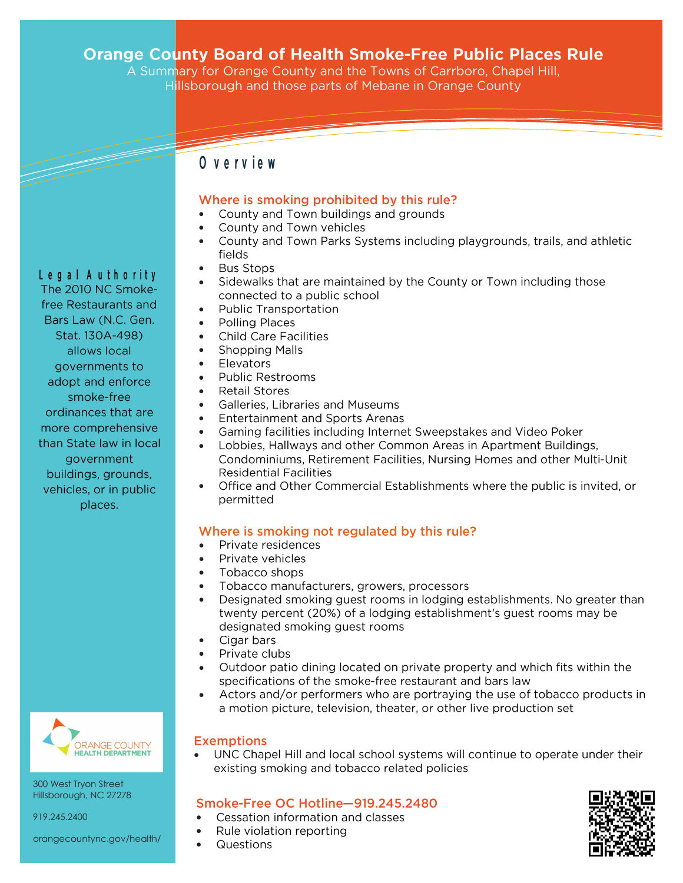# **Orange County Board of Health Smoke-Free Public Places Rule**<br>A Summary for Orange County and the Towns of Carrboro, Chapel Hill,

Hillsborough and those parts of Mebane in Orange County

# O verview

#### Where is smoking prohibited by this rule?

- County and Town buildings and grounds  $\bullet$
- County and Town vehicles  $\bullet$
- $\bullet$ County and Town Parks Systems including playgrounds, trails, and athletic fields
- **Bus Stops**  $\bullet$
- Sidewalks that are maintained by the County or Town including those  $\bullet$ connected to a public school
- **Public Transportation**  $\bullet$
- **Polling Places**  $\bullet$
- **Child Care Facilities**  $\bullet$
- $\bullet$ **Shopping Malls**
- Elevators  $\bullet$
- **Public Restrooms**  $\bullet$
- $\bullet$ **Retail Stores**
- $\bullet$ Galleries, Libraries and Museums
- **Entertainment and Sports Arenas**  $\bullet$
- Gaming facilities including Internet Sweepstakes and Video Poker  $\bullet$
- Lobbies, Hallways and other Common Areas in Apartment Buildings,  $\bullet$ Condominiums, Retirement Facilities, Nursing Homes and other Multi-Unit **Residential Facilities**
- Office and Other Commercial Establishments where the public is invited, or  $\bullet$ permitted

### Where is smoking not regulated by this rule?

- Private residences  $\bullet$
- Private vehicles  $\bullet$
- Tobacco shops  $\bullet$
- Tobacco manufacturers, growers, processors
- Designated smoking guest rooms in lodging establishments. No greater than  $\bullet$ twenty percent (20%) of a lodging establishment's guest rooms may be designated smoking quest rooms
- Cigar bars  $\bullet$
- $\bullet$ Private clubs
- $\bullet$ Outdoor patio dining located on private property and which fits within the specifications of the smoke-free restaurant and bars law
- $\bullet$ Actors and/or performers who are portraying the use of tobacco products in a motion picture, television, theater, or other live production set

#### **Exemptions**

UNC Chapel Hill and local school systems will continue to operate under their  $\bullet$ existing smoking and tobacco related policies

### Smoke-Free OC Hotline-919.245.2480

- Cessation information and classes  $\bullet$
- Rule violation reporting
- $\bullet$ Questions

 $\bullet$ 



Legal Authority The 2010 NC Smokefree Restaurants and Bars Law (N.C. Gen. Stat. 130A-498) allows local governments to adopt and enforce smoke-free ordinances that are more comprehensive than State law in local government buildings, grounds, vehicles, or in public places.



300 West Tryon Street Hillsborough, NC 27278

919.245.2400

orangecountync.gov/health/

- -
	-
	-
	-
	- $\bullet$